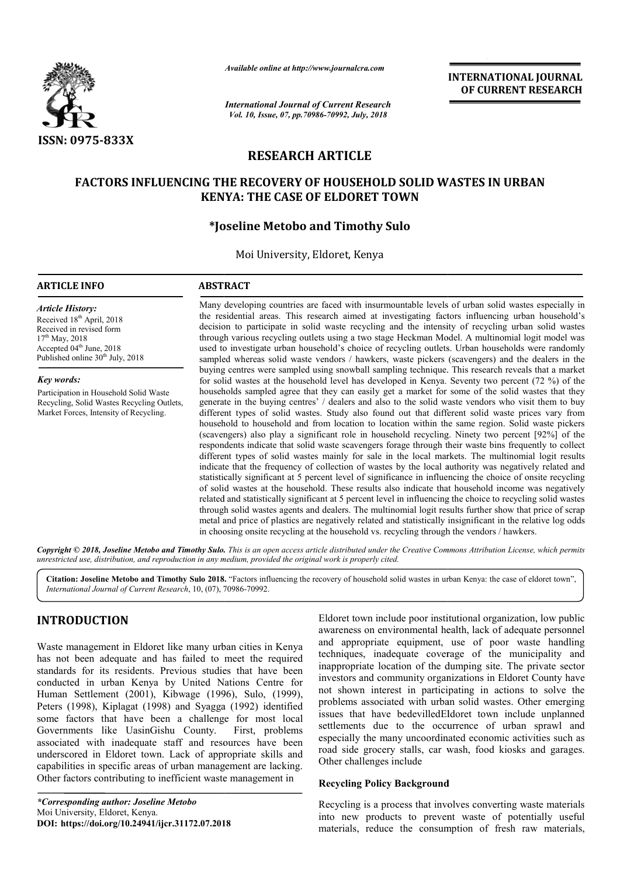

*Available online at http://www.journalcra.com*

*International Journal of Current Research Vol. 10, Issue, 07, pp.70986-70992, July, 2018*

**INTERNATIONAL JOURNAL OF CURRENT RESEARCH**

# **RESEARCH ARTICLE**

# **FACTORS INFLUENCING THE RECOVERY OF HOUSEHOLD SOLID WASTES IN URBAN WASTES IN URBAN KENYA: THE CASE OF ELDORET TOWN**

# **\*Joseline Joseline Metobo and Timothy Sulo**

Moi University, Eldoret, Kenya

## **ARTICLE INFO ABSTRACT**

*Article History:* Received 18<sup>th</sup> April, 2018 Received in revised form 17<sup>th</sup> May, 2018 Accepted  $04<sup>th</sup>$  June, 2018 Published online  $30<sup>th</sup>$  July, 2018

*Key words:*

Participation in Household Solid Waste Recycling, Solid Wastes Recycling Outlets, Market Forces, Intensity of Recycling.

Many developing countries are faced with insurmountable levels of urban solid wastes especially in Many developing countries are faced with insurmountable levels of urban solid wastes especially in the residential areas. This research aimed at investigating factors influencing urban household's decision to participate in solid waste recycling and the intensity of recycling urban solid wastes through various recycling outlets using a two stage Heckman Model. A multinomial logit model was used to investigate urban hous household's choice of recycling outlets. Urban households were randomly sampled whereas solid waste vendors / hawkers, waste pickers (scavengers) and the dealers in the decision to participate in solid waste recycling and the intensity of recycling urban solid wastes through various recycling outlets using a two stage Heckman Model. A multinomial logit model was used to investigate urban for solid wastes at the household level has developed in Kenya. Seventy two percent (72 %) of the households sampled agree that they can easily get a market for some of the solid wastes that they generate in the buying centres' / dealers and also to the solid waste vendors who visit them to buy different types of solid wastes. Study also found out that different solid waste prices vary from household to household and from location to location within the same region. Solid waste pickers (scavengers) also play a significant role in household recycling. Ninety two percent [92%] of the respondents indicate that solid waste scavengers forage through their waste bins frequently to collect different types of solid wastes mainly for sale in the local markets. The multinomial logit results indicate that the frequency of collection of wastes by the local authority was negatively related and statistically significant at 5 percent level of significance in influencing the choice of onsite recycling of solid wastes at the household. These results also indicate that household income was negatively related and statistically significant at 5 percent level in influencing the choice to recycling solid wastes through solid wastes agents and dealers. The multinomial logit results further show that price of scrap metal and price of plastics are negatively related and statistically insignificant in the relative log odds in choosing onsite recycling at the household vs. recycling through the vendors / hawkers. for solid wastes at the household level has developed in Kenya. Seventy two percent (72 %) of the households sampled agree that they can easily get a market for some of the solid wastes that they generate in the buying cen indicate that the frequency of collection of wastes by the local authority was negatively relate statistically significant at 5 percent level of significance in influencing the choice of onsite recy of solid wastes at the INTERNATIONAL JOURNAL<br>
FOR CURRENT RESEARCH<br>
Search<br>
2018<br>
Search<br>
2018<br>
Comparison of CURRENT RESEARCH<br>
EF TOWN<br>
THE SULD WASTES IN URBAN<br>
EFT TOWN<br>
THE SULD WASTES IN URBAN<br>
EFT TOWN<br>
THE SULD COMENT CONSIDE TOWN<br>
THE S

Copyright © 2018, Joseline Metobo and Timothy Sulo. This is an open access article distributed under the Creative Commons Attribution License, which permits *unrestricted use, distribution, and reproduction in any medium, provided the original work is properly cited.*

Citation: Joseline Metobo and Timothy Sulo 2018. "Factors influencing the recovery of household solid wastes in urban Kenya: the case of eldoret town", *International Journal of Current Research*, 10, (07), 70986 70986-70992.

# **INTRODUCTION**

Waste management in Eldoret like many urban cities in Kenya has not been adequate and has failed to meet the required standards for its residents. Previous studies that have been conducted in urban Kenya by United Nations Centre for Human Settlement (2001), Kibwage (1996), Sulo, (19 (1999), Peters (1998), Kiplagat (1998) and Syagga (1992) identified some factors that have been a challenge for most local Governments like UasinGishu County. First, problems associated with inadequate staff and resources have been underscored in Eldoret town. Lack of appropriate skills and capabilities in specific areas of urban management are lacking. Other factors contributing to inefficient waste management in

*\*Corresponding author: Joseline Metobo* Moi University, Eldoret, Kenya. **DOI: https://doi.org/10.24941/ijcr.31172.07.2018**

Eldoret town include poor institutional organization, low public<br>awareness on environmental health, lack of adequate personent<br>d to meet the required<br>techniques, inadequate coverage of the municipality and<br>studies that hav awareness on environmental health, lack of adequate personnel and appropriate equipment, use of poor waste handling techniques, inadequate coverage of the municipality and inappropriate location of the dumping site. The private sector investors and community organizations in Eldoret County have not shown interest in participating in actions to solve the problems associated with urban solid wastes. Other emerging issues that have bedevilledEldoret town include unplanned settlements due to the occurrence of urban sprawl and especially the many uncoordinated economic activities such as road side grocery stalls, car wash, food kiosks and garages. Other challenges include Eldoret town include poor institutional organization, low public<br>awareness on environmental health, lack of adequate personnel<br>and appropriate equipment, use of poor waste handling<br>techniques, inadequate coverage of the mu

# **Recycling Policy Background**

Recycling is a process that involves converting waste materials into new products to prevent waste of potentially useful materials, reduce the consumption of fresh raw materials,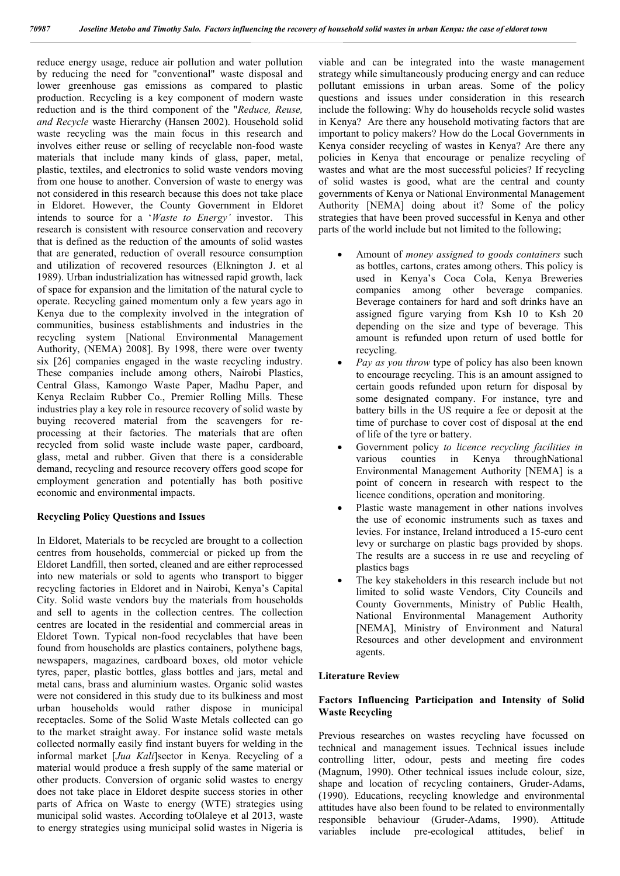reduce energy usage, reduce air pollution and water pollution by reducing the need for "conventional" waste disposal and lower greenhouse gas emissions as compared to plastic production. Recycling is a key component of modern waste reduction and is the third component of the "*Reduce, Reuse, and Recycle* waste Hierarchy (Hansen 2002). Household solid waste recycling was the main focus in this research and involves either reuse or selling of recyclable non-food waste materials that include many kinds of glass, paper, metal, plastic, textiles, and electronics to solid waste vendors moving from one house to another. Conversion of waste to energy was not considered in this research because this does not take place in Eldoret. However, the County Government in Eldoret intends to source for a '*Waste to Energy'* investor. This research is consistent with resource conservation and recovery that is defined as the reduction of the amounts of solid wastes that are generated, reduction of overall resource consumption and utilization of recovered resources (Elknington J. et al 1989). Urban industrialization has witnessed rapid growth, lack of space for expansion and the limitation of the natural cycle to operate. Recycling gained momentum only a few years ago in Kenya due to the complexity involved in the integration of communities, business establishments and industries in the recycling system [National Environmental Management Authority, (NEMA) 2008]. By 1998, there were over twenty six [26] companies engaged in the waste recycling industry. These companies include among others, Nairobi Plastics, Central Glass, Kamongo Waste Paper, Madhu Paper, and Kenya Reclaim Rubber Co., Premier Rolling Mills. These industries play a key role in resource recovery of solid waste by buying recovered material from the scavengers for reprocessing at their factories. The materials that are often recycled from solid waste include waste paper, cardboard, glass, metal and rubber. Given that there is a considerable demand, recycling and resource recovery offers good scope for employment generation and potentially has both positive economic and environmental impacts.

# **Recycling Policy Questions and Issues**

In Eldoret, Materials to be recycled are brought to a collection centres from households, commercial or picked up from the Eldoret Landfill, then sorted, cleaned and are either reprocessed into new materials or sold to agents who transport to bigger recycling factories in Eldoret and in Nairobi, Kenya's Capital City. Solid waste vendors buy the materials from households and sell to agents in the collection centres. The collection centres are located in the residential and commercial areas in Eldoret Town. Typical non-food recyclables that have been found from households are plastics containers, polythene bags, newspapers, magazines, cardboard boxes, old motor vehicle tyres, paper, plastic bottles, glass bottles and jars, metal and metal cans, brass and aluminium wastes. Organic solid wastes were not considered in this study due to its bulkiness and most urban households would rather dispose in municipal receptacles. Some of the Solid Waste Metals collected can go to the market straight away. For instance solid waste metals collected normally easily find instant buyers for welding in the informal market [*Jua Kali*]sector in Kenya. Recycling of a material would produce a fresh supply of the same material or other products. Conversion of organic solid wastes to energy does not take place in Eldoret despite success stories in other parts of Africa on Waste to energy (WTE) strategies using municipal solid wastes. According toOlaleye et al 2013, waste to energy strategies using municipal solid wastes in Nigeria is viable and can be integrated into the waste management strategy while simultaneously producing energy and can reduce pollutant emissions in urban areas. Some of the policy questions and issues under consideration in this research include the following: Why do households recycle solid wastes in Kenya? Are there any household motivating factors that are important to policy makers? How do the Local Governments in Kenya consider recycling of wastes in Kenya? Are there any policies in Kenya that encourage or penalize recycling of wastes and what are the most successful policies? If recycling of solid wastes is good, what are the central and county governments of Kenya or National Environmental Management Authority [NEMA] doing about it? Some of the policy strategies that have been proved successful in Kenya and other parts of the world include but not limited to the following;

- Amount of *money assigned to goods containers* such as bottles, cartons, crates among others. This policy is used in Kenya's Coca Cola, Kenya Breweries companies among other beverage companies. Beverage containers for hard and soft drinks have an assigned figure varying from Ksh 10 to Ksh 20 depending on the size and type of beverage. This amount is refunded upon return of used bottle for recycling.
- *Pay as you throw* type of policy has also been known to encourage recycling. This is an amount assigned to certain goods refunded upon return for disposal by some designated company. For instance, tyre and battery bills in the US require a fee or deposit at the time of purchase to cover cost of disposal at the end of life of the tyre or battery.
- Government policy *to licence recycling facilities in* various counties in Kenya throughNational Environmental Management Authority [NEMA] is a point of concern in research with respect to the licence conditions, operation and monitoring.
- Plastic waste management in other nations involves the use of economic instruments such as taxes and levies. For instance, Ireland introduced a 15-euro cent levy or surcharge on plastic bags provided by shops. The results are a success in re use and recycling of plastics bags
- The key stakeholders in this research include but not limited to solid waste Vendors, City Councils and County Governments, Ministry of Public Health, National Environmental Management Authority [NEMA], Ministry of Environment and Natural Resources and other development and environment agents.

# **Literature Review**

# **Factors Influencing Participation and Intensity of Solid Waste Recycling**

Previous researches on wastes recycling have focussed on technical and management issues. Technical issues include controlling litter, odour, pests and meeting fire codes (Magnum, 1990). Other technical issues include colour, size, shape and location of recycling containers, Gruder-Adams, (1990). Educations, recycling knowledge and environmental attitudes have also been found to be related to environmentally responsible behaviour (Gruder-Adams, 1990). Attitude variables include pre-ecological attitudes, belief in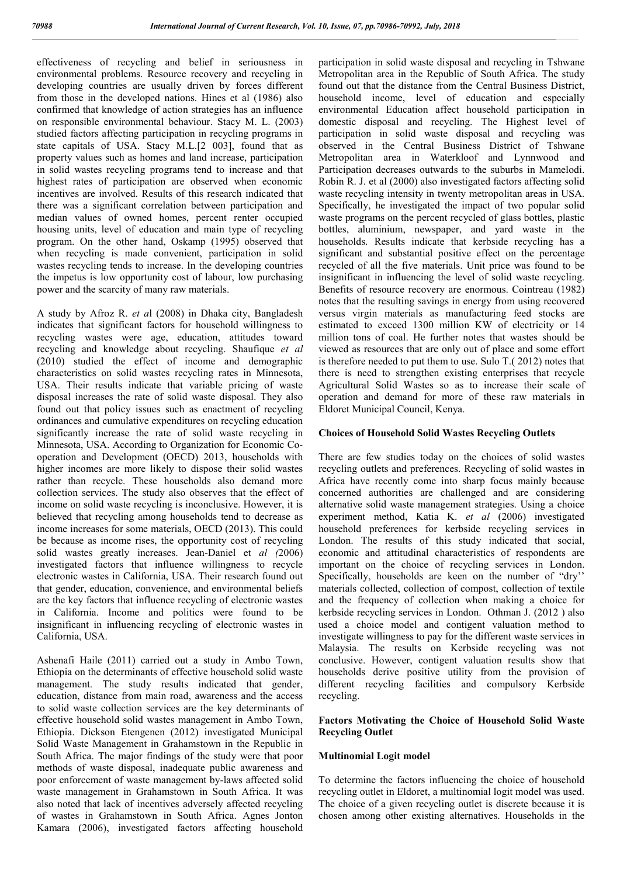effectiveness of recycling and belief in seriousness in environmental problems. Resource recovery and recycling in developing countries are usually driven by forces different from those in the developed nations. Hines et al (1986) also confirmed that knowledge of action strategies has an influence on responsible environmental behaviour. Stacy M. L. (2003) studied factors affecting participation in recycling programs in state capitals of USA. Stacy M.L.[2 003], found that as property values such as homes and land increase, participation in solid wastes recycling programs tend to increase and that highest rates of participation are observed when economic incentives are involved. Results of this research indicated that there was a significant correlation between participation and median values of owned homes, percent renter occupied housing units, level of education and main type of recycling program. On the other hand, Oskamp (1995) observed that when recycling is made convenient, participation in solid wastes recycling tends to increase. In the developing countries the impetus is low opportunity cost of labour, low purchasing power and the scarcity of many raw materials.

A study by Afroz R. *et a*l (2008) in Dhaka city, Bangladesh indicates that significant factors for household willingness to recycling wastes were age, education, attitudes toward recycling and knowledge about recycling. Shaufique *et al* (2010) studied the effect of income and demographic characteristics on solid wastes recycling rates in Minnesota, USA. Their results indicate that variable pricing of waste disposal increases the rate of solid waste disposal. They also found out that policy issues such as enactment of recycling ordinances and cumulative expenditures on recycling education significantly increase the rate of solid waste recycling in Minnesota, USA. According to Organization for Economic Cooperation and Development (OECD) 2013, households with higher incomes are more likely to dispose their solid wastes rather than recycle. These households also demand more collection services. The study also observes that the effect of income on solid waste recycling is inconclusive. However, it is believed that recycling among households tend to decrease as income increases for some materials, OECD (2013). This could be because as income rises, the opportunity cost of recycling solid wastes greatly increases. Jean-Daniel et *al (*2006) investigated factors that influence willingness to recycle electronic wastes in California, USA. Their research found out that gender, education, convenience, and environmental beliefs are the key factors that influence recycling of electronic wastes in California. Income and politics were found to be insignificant in influencing recycling of electronic wastes in California, USA.

Ashenafi Haile (2011) carried out a study in Ambo Town, Ethiopia on the determinants of effective household solid waste management. The study results indicated that gender, education, distance from main road, awareness and the access to solid waste collection services are the key determinants of effective household solid wastes management in Ambo Town, Ethiopia. Dickson Etengenen (2012) investigated Municipal Solid Waste Management in Grahamstown in the Republic in South Africa. The major findings of the study were that poor methods of waste disposal, inadequate public awareness and poor enforcement of waste management by-laws affected solid waste management in Grahamstown in South Africa. It was also noted that lack of incentives adversely affected recycling of wastes in Grahamstown in South Africa. Agnes Jonton Kamara (2006), investigated factors affecting household

participation in solid waste disposal and recycling in Tshwane Metropolitan area in the Republic of South Africa. The study found out that the distance from the Central Business District, household income, level of education and especially environmental Education affect household participation in domestic disposal and recycling. The Highest level of participation in solid waste disposal and recycling was observed in the Central Business District of Tshwane Metropolitan area in Waterkloof and Lynnwood and Participation decreases outwards to the suburbs in Mamelodi. Robin R. J. et al (2000) also investigated factors affecting solid waste recycling intensity in twenty metropolitan areas in USA. Specifically, he investigated the impact of two popular solid waste programs on the percent recycled of glass bottles, plastic bottles, aluminium, newspaper, and yard waste in the households. Results indicate that kerbside recycling has a significant and substantial positive effect on the percentage recycled of all the five materials. Unit price was found to be insignificant in influencing the level of solid waste recycling. Benefits of resource recovery are enormous. Cointreau (1982) notes that the resulting savings in energy from using recovered versus virgin materials as manufacturing feed stocks are estimated to exceed 1300 million KW of electricity or 14 million tons of coal. He further notes that wastes should be viewed as resources that are only out of place and some effort is therefore needed to put them to use. Sulo T.( 2012) notes that there is need to strengthen existing enterprises that recycle Agricultural Solid Wastes so as to increase their scale of operation and demand for more of these raw materials in Eldoret Municipal Council, Kenya.

#### **Choices of Household Solid Wastes Recycling Outlets**

There are few studies today on the choices of solid wastes recycling outlets and preferences. Recycling of solid wastes in Africa have recently come into sharp focus mainly because concerned authorities are challenged and are considering alternative solid waste management strategies. Using a choice experiment method, Katia K. *et al* (2006) investigated household preferences for kerbside recycling services in London. The results of this study indicated that social, economic and attitudinal characteristics of respondents are important on the choice of recycling services in London. Specifically, households are keen on the number of "dry'' materials collected, collection of compost, collection of textile and the frequency of collection when making a choice for kerbside recycling services in London. Othman J. (2012 ) also used a choice model and contigent valuation method to investigate willingness to pay for the different waste services in Malaysia. The results on Kerbside recycling was not conclusive. However, contigent valuation results show that households derive positive utility from the provision of different recycling facilities and compulsory Kerbside recycling.

#### **Factors Motivating the Choice of Household Solid Waste Recycling Outlet**

## **Multinomial Logit model**

To determine the factors influencing the choice of household recycling outlet in Eldoret, a multinomial logit model was used. The choice of a given recycling outlet is discrete because it is chosen among other existing alternatives. Households in the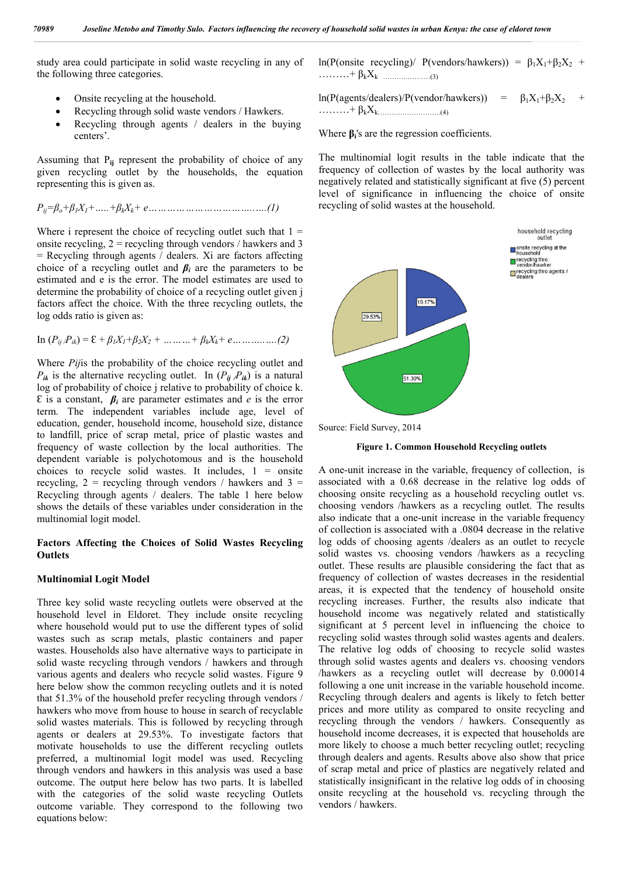study area could participate in solid waste recycling in any of the following three categories.

- Onsite recycling at the household.
- Recycling through solid waste vendors / Hawkers.
- Recycling through agents / dealers in the buying centers'.

Assuming that P**ij** represent the probability of choice of any given recycling outlet by the households, the equation representing this is given as.

$$
P_{ij} = \beta_o + \beta_1 X_1 + \dots + \beta_k X_k + e \dots \dots \dots \dots \dots \dots \dots \dots \dots \dots \dots \dots (1)
$$

Where i represent the choice of recycling outlet such that  $1 =$ onsite recycling,  $2 =$  recycling through vendors / hawkers and 3  $=$  Recycling through agents  $\overline{\ }$  dealers. Xi are factors affecting choice of a recycling outlet and  $\beta_i$  are the parameters to be estimated and e is the error. The model estimates are used to determine the probability of choice of a recycling outlet given j factors affect the choice. With the three recycling outlets, the log odds ratio is given as:

In 
$$
(P_{ij}/P_{ik}) = \mathcal{E} + \beta_1 X_1 + \beta_2 X_2 + \dots + \beta_k X_k + e \dots \dots \dots \dots (2)
$$

Where *Pij*is the probability of the choice recycling outlet and  $P_{ik}$  is the alternative recycling outlet. In  $(P_{ij} / P_{ik})$  is a natural log of probability of choice j relative to probability of choice k. Ԑ is a constant, *βi* are parameter estimates and *e* is the error term. The independent variables include age, level of education, gender, household income, household size, distance to landfill, price of scrap metal, price of plastic wastes and frequency of waste collection by the local authorities. The dependent variable is polychotomous and is the household choices to recycle solid wastes. It includes,  $1 =$  onsite recycling,  $2$  = recycling through vendors / hawkers and  $3$  = Recycling through agents / dealers. The table 1 here below shows the details of these variables under consideration in the multinomial logit model.

## **Factors Affecting the Choices of Solid Wastes Recycling Outlets**

#### **Multinomial Logit Model**

Three key solid waste recycling outlets were observed at the household level in Eldoret. They include onsite recycling where household would put to use the different types of solid wastes such as scrap metals, plastic containers and paper wastes. Households also have alternative ways to participate in solid waste recycling through vendors / hawkers and through various agents and dealers who recycle solid wastes. Figure 9 here below show the common recycling outlets and it is noted that 51.3% of the household prefer recycling through vendors / hawkers who move from house to house in search of recyclable solid wastes materials. This is followed by recycling through agents or dealers at 29.53%. To investigate factors that motivate households to use the different recycling outlets preferred, a multinomial logit model was used. Recycling through vendors and hawkers in this analysis was used a base outcome. The output here below has two parts. It is labelled with the categories of the solid waste recycling Outlets outcome variable. They correspond to the following two equations below:

ln(P(onsite recycling)/ P(vendors/hawkers)) =  $β_1X_1+β_2X_2$  + ………+ βkXk …………………(3)

ln(P(agents/dealers)/P(vendor/hawkers)) =  $\beta_1X_1+\beta_2X_2$  $\ldots \ldots \ldots + \beta_k X_k$  (4)

Where **βi**'s are the regression coefficients.

The multinomial logit results in the table indicate that the frequency of collection of wastes by the local authority was negatively related and statistically significant at five (5) percent level of significance in influencing the choice of onsite recycling of solid wastes at the household.



Source: Field Survey, 2014

**Figure 1. Common Household Recycling outlets**

A one-unit increase in the variable, frequency of collection, is associated with a 0.68 decrease in the relative log odds of choosing onsite recycling as a household recycling outlet vs. choosing vendors /hawkers as a recycling outlet. The results also indicate that a one-unit increase in the variable frequency of collection is associated with a .0804 decrease in the relative log odds of choosing agents /dealers as an outlet to recycle solid wastes vs. choosing vendors /hawkers as a recycling outlet. These results are plausible considering the fact that as frequency of collection of wastes decreases in the residential areas, it is expected that the tendency of household onsite recycling increases. Further, the results also indicate that household income was negatively related and statistically significant at 5 percent level in influencing the choice to recycling solid wastes through solid wastes agents and dealers. The relative log odds of choosing to recycle solid wastes through solid wastes agents and dealers vs. choosing vendors /hawkers as a recycling outlet will decrease by 0.00014 following a one unit increase in the variable household income. Recycling through dealers and agents is likely to fetch better prices and more utility as compared to onsite recycling and recycling through the vendors / hawkers. Consequently as household income decreases, it is expected that households are more likely to choose a much better recycling outlet; recycling through dealers and agents. Results above also show that price of scrap metal and price of plastics are negatively related and statistically insignificant in the relative log odds of in choosing onsite recycling at the household vs. recycling through the vendors / hawkers.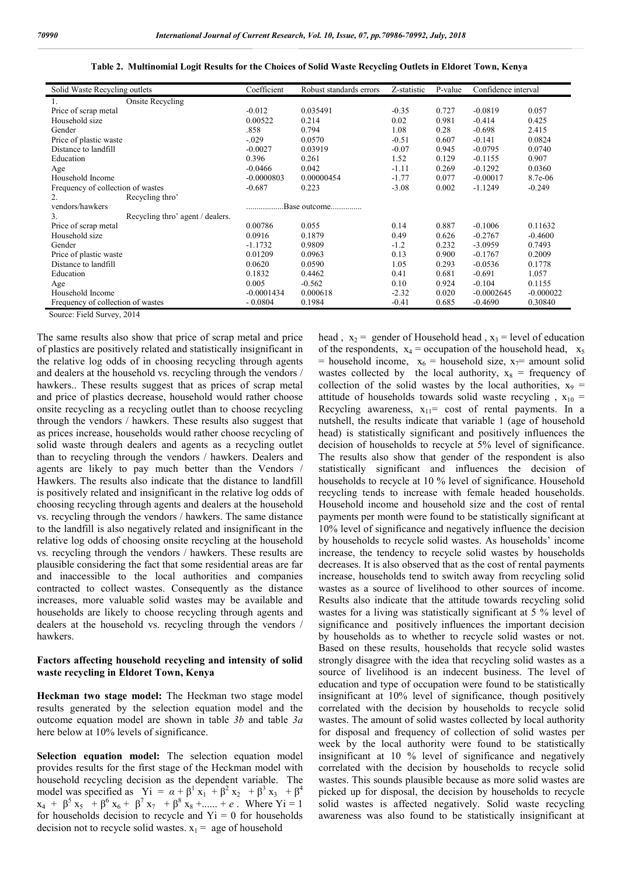| Solid Waste Recycling outlets          | Coefficient  | Robust standards errors | Z-statistic | P-value | Confidence interval |             |
|----------------------------------------|--------------|-------------------------|-------------|---------|---------------------|-------------|
| <b>Onsite Recycling</b>                |              |                         |             |         |                     |             |
| Price of scrap metal                   | $-0.012$     | 0.035491                | $-0.35$     | 0.727   | $-0.0819$           | 0.057       |
| Household size                         | 0.00522      | 0.214                   | 0.02        | 0.981   | $-0.414$            | 0.425       |
| Gender                                 | .858         | 0.794                   | 1.08        | 0.28    | $-0.698$            | 2.415       |
| Price of plastic waste                 | $-.029$      | 0.0570                  | $-0.51$     | 0.607   | $-0.141$            | 0.0824      |
| Distance to landfill                   | $-0.0027$    | 0.03919                 | $-0.07$     | 0.945   | $-0.0795$           | 0.0740      |
| Education                              | 0.396        | 0.261                   | 1.52        | 0.129   | $-0.1155$           | 0.907       |
| Age                                    | $-0.0466$    | 0.042                   | $-1.11$     | 0.269   | $-0.1292$           | 0.0360      |
| Household Income                       | $-0.0000803$ | 0.00000454              | $-1.77$     | 0.077   | $-0.00017$          | 8.7e-06     |
| Frequency of collection of wastes      | $-0.687$     | 0.223                   | $-3.08$     | 0.002   | $-1.1249$           | $-0.249$    |
| Recycling thro'<br>2.                  |              |                         |             |         |                     |             |
| vendors/hawkers                        |              | Base outcome            |             |         |                     |             |
| 3.<br>Recycling thro' agent / dealers. |              |                         |             |         |                     |             |
| Price of scrap metal                   | 0.00786      | 0.055                   | 0.14        | 0.887   | $-0.1006$           | 0.11632     |
| Household size                         | 0.0916       | 0.1879                  | 0.49        | 0.626   | $-0.2767$           | $-0.4600$   |
| Gender                                 | $-1.1732$    | 0.9809                  | $-1.2$      | 0.232   | $-3.0959$           | 0.7493      |
| Price of plastic waste                 | 0.01209      | 0.0963                  | 0.13        | 0.900   | $-0.1767$           | 0.2009      |
| Distance to landfill                   | 0.0620       | 0.0590                  | 1.05        | 0.293   | $-0.0536$           | 0.1778      |
| Education                              | 0.1832       | 0.4462                  | 0.41        | 0.681   | $-0.691$            | 1.057       |
| Age                                    | 0.005        | $-0.562$                | 0.10        | 0.924   | $-0.104$            | 0.1155      |
| Household Income                       | $-0.0001434$ | 0.000618                | $-2.32$     | 0.020   | $-0.0002645$        | $-0.000022$ |
| Frequency of collection of wastes      | $-0.0804$    | 0.1984                  | $-0.41$     | 0.685   | $-0.4690$           | 0.30840     |

**Table 2. Multinomial Logit Results for the Choices of Solid Waste Recycling Outlets in Eldoret Town, Kenya**

Source: Field Survey, 2014

The same results also show that price of scrap metal and price of plastics are positively related and statistically insignificant in the relative log odds of in choosing recycling through agents and dealers at the household vs. recycling through the vendors / hawkers.. These results suggest that as prices of scrap metal and price of plastics decrease, household would rather choose onsite recycling as a recycling outlet than to choose recycling through the vendors / hawkers. These results also suggest that as prices increase, households would rather choose recycling of solid waste through dealers and agents as a recycling outlet than to recycling through the vendors / hawkers. Dealers and agents are likely to pay much better than the Vendors / Hawkers. The results also indicate that the distance to landfill is positively related and insignificant in the relative log odds of choosing recycling through agents and dealers at the household vs. recycling through the vendors / hawkers. The same distance to the landfill is also negatively related and insignificant in the relative log odds of choosing onsite recycling at the household vs. recycling through the vendors / hawkers. These results are plausible considering the fact that some residential areas are far and inaccessible to the local authorities and companies contracted to collect wastes. Consequently as the distance increases, more valuable solid wastes may be available and households are likely to choose recycling through agents and dealers at the household vs. recycling through the vendors / hawkers.

### **Factors affecting household recycling and intensity of solid waste recycling in Eldoret Town, Kenya**

**Heckman two stage model:** The Heckman two stage model results generated by the selection equation model and the outcome equation model are shown in table *3b* and table *3a*  here below at 10% levels of significance.

**Selection equation model:** The selection equation model provides results for the first stage of the Heckman model with household recycling decision as the dependent variable. The model was specified as  $yi = \alpha + \beta^1 x_1 + \beta^2 x_2 + \beta^3 x_3 + \beta^4$  $x_4 + \beta^5 x_5 + \beta^6 x_6 + \beta^7 x_7 + \beta^8 x_8 + \dots + e$ . Where Yi = 1 for households decision to recycle and  $Y_i = 0$  for households decision not to recycle solid wastes.  $x_1$  = age of household

head,  $x_2$  = gender of Household head,  $x_3$  = level of education of the respondents,  $x_4$  = occupation of the household head,  $x_5$ = household income,  $x_6$  = household size,  $x_7$ = amount solid wastes collected by the local authority,  $x_8$  = frequency of collection of the solid wastes by the local authorities,  $x_9$  = attitude of households towards solid waste recycling ,  $x_{10}$  = Recycling awareness,  $x_{11}$ = cost of rental payments. In a nutshell, the results indicate that variable 1 (age of household head) is statistically significant and positively influences the decision of households to recycle at 5% level of significance. The results also show that gender of the respondent is also statistically significant and influences the decision of households to recycle at 10 % level of significance. Household recycling tends to increase with female headed households. Household income and household size and the cost of rental payments per month were found to be statistically significant at 10% level of significance and negatively influence the decision by households to recycle solid wastes. As households' income increase, the tendency to recycle solid wastes by households decreases. It is also observed that as the cost of rental payments increase, households tend to switch away from recycling solid wastes as a source of livelihood to other sources of income. Results also indicate that the attitude towards recycling solid wastes for a living was statistically significant at 5 % level of significance and positively influences the important decision by households as to whether to recycle solid wastes or not. Based on these results, households that recycle solid wastes strongly disagree with the idea that recycling solid wastes as a source of livelihood is an indecent business. The level of education and type of occupation were found to be statistically insignificant at 10% level of significance, though positively correlated with the decision by households to recycle solid wastes. The amount of solid wastes collected by local authority for disposal and frequency of collection of solid wastes per week by the local authority were found to be statistically insignificant at 10 % level of significance and negatively correlated with the decision by households to recycle solid wastes. This sounds plausible because as more solid wastes are picked up for disposal, the decision by households to recycle solid wastes is affected negatively. Solid waste recycling awareness was also found to be statistically insignificant at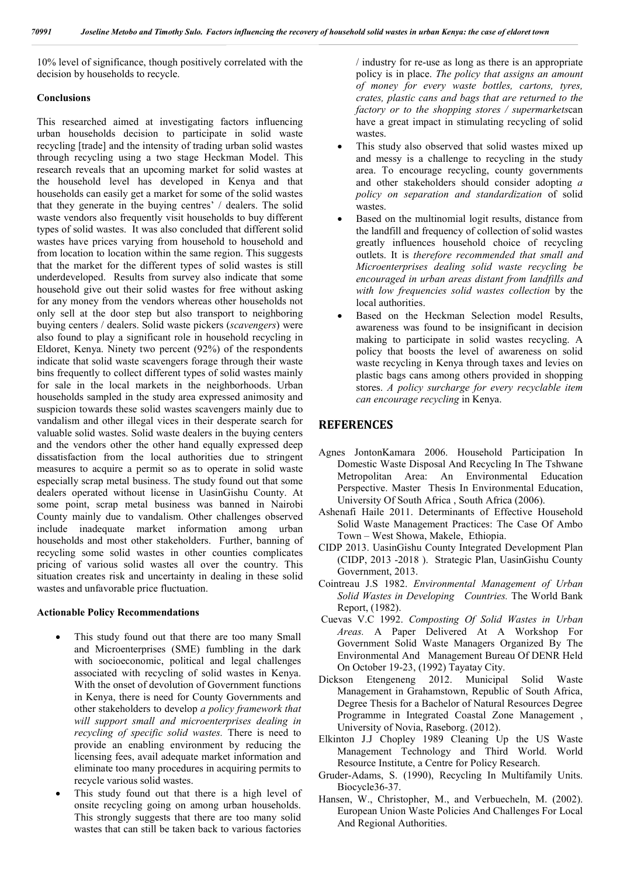10% level of significance, though positively correlated with the decision by households to recycle.

#### **Conclusions**

This researched aimed at investigating factors influencing urban households decision to participate in solid waste recycling [trade] and the intensity of trading urban solid wastes through recycling using a two stage Heckman Model. This research reveals that an upcoming market for solid wastes at the household level has developed in Kenya and that households can easily get a market for some of the solid wastes that they generate in the buying centres' / dealers. The solid waste vendors also frequently visit households to buy different types of solid wastes. It was also concluded that different solid wastes have prices varying from household to household and from location to location within the same region. This suggests that the market for the different types of solid wastes is still underdeveloped. Results from survey also indicate that some household give out their solid wastes for free without asking for any money from the vendors whereas other households not only sell at the door step but also transport to neighboring buying centers / dealers. Solid waste pickers (*scavengers*) were also found to play a significant role in household recycling in Eldoret, Kenya. Ninety two percent (92%) of the respondents indicate that solid waste scavengers forage through their waste bins frequently to collect different types of solid wastes mainly for sale in the local markets in the neighborhoods. Urban households sampled in the study area expressed animosity and suspicion towards these solid wastes scavengers mainly due to vandalism and other illegal vices in their desperate search for valuable solid wastes. Solid waste dealers in the buying centers and the vendors other the other hand equally expressed deep dissatisfaction from the local authorities due to stringent measures to acquire a permit so as to operate in solid waste especially scrap metal business. The study found out that some dealers operated without license in UasinGishu County. At some point, scrap metal business was banned in Nairobi County mainly due to vandalism. Other challenges observed include inadequate market information among urban households and most other stakeholders. Further, banning of recycling some solid wastes in other counties complicates pricing of various solid wastes all over the country. This situation creates risk and uncertainty in dealing in these solid wastes and unfavorable price fluctuation.

#### **Actionable Policy Recommendations**

- This study found out that there are too many Small and Microenterprises (SME) fumbling in the dark with socioeconomic, political and legal challenges associated with recycling of solid wastes in Kenya. With the onset of devolution of Government functions in Kenya, there is need for County Governments and other stakeholders to develop *a policy framework that will support small and microenterprises dealing in recycling of specific solid wastes.* There is need to provide an enabling environment by reducing the licensing fees, avail adequate market information and eliminate too many procedures in acquiring permits to recycle various solid wastes.
- This study found out that there is a high level of onsite recycling going on among urban households. This strongly suggests that there are too many solid wastes that can still be taken back to various factories

/ industry for re-use as long as there is an appropriate policy is in place. *The policy that assigns an amount of money for every waste bottles, cartons, tyres, crates, plastic cans and bags that are returned to the factory or to the shopping stores / supermarkets*can have a great impact in stimulating recycling of solid wastes.

- This study also observed that solid wastes mixed up and messy is a challenge to recycling in the study area. To encourage recycling, county governments and other stakeholders should consider adopting *a policy on separation and standardization* of solid wastes.
- Based on the multinomial logit results, distance from the landfill and frequency of collection of solid wastes greatly influences household choice of recycling outlets. It is *therefore recommended that small and Microenterprises dealing solid waste recycling be encouraged in urban areas distant from landfills and with low frequencies solid wastes collection* by the local authorities.
- Based on the Heckman Selection model Results, awareness was found to be insignificant in decision making to participate in solid wastes recycling. A policy that boosts the level of awareness on solid waste recycling in Kenya through taxes and levies on plastic bags cans among others provided in shopping stores. *A policy surcharge for every recyclable item can encourage recycling* in Kenya.

# **REFERENCES**

- Agnes JontonKamara 2006. Household Participation In Domestic Waste Disposal And Recycling In The Tshwane Metropolitan Area: An Environmental Education Perspective. Master Thesis In Environmental Education, University Of South Africa , South Africa (2006).
- Ashenafi Haile 2011. Determinants of Effective Household Solid Waste Management Practices: The Case Of Ambo Town – West Showa, Makele, Ethiopia.
- CIDP 2013. UasinGishu County Integrated Development Plan (CIDP, 2013 -2018 ). Strategic Plan, UasinGishu County Government, 2013.
- Cointreau J.S 1982. *Environmental Management of Urban Solid Wastes in Developing Countries.* The World Bank Report, (1982).
- Cuevas V.C 1992. *Composting Of Solid Wastes in Urban Areas.* A Paper Delivered At A Workshop For Government Solid Waste Managers Organized By The Environmental And Management Bureau Of DENR Held On October 19-23, (1992) Tayatay City.
- Dickson Etengeneng 2012. Municipal Solid Waste Management in Grahamstown, Republic of South Africa, Degree Thesis for a Bachelor of Natural Resources Degree Programme in Integrated Coastal Zone Management , University of Novia, Raseborg. (2012).
- Elkinton J.J Chopley 1989 Cleaning Up the US Waste Management Technology and Third World. World Resource Institute, a Centre for Policy Research.
- Gruder-Adams, S. (1990), Recycling In Multifamily Units. Biocycle36-37.
- Hansen, W., Christopher, M., and Verbuecheln, M. (2002). European Union Waste Policies And Challenges For Local And Regional Authorities.